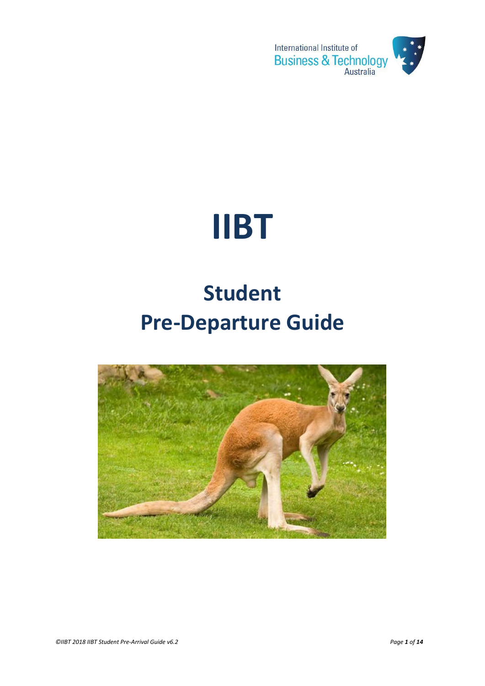

# **IIBT**

## **Student Pre-Departure Guide**

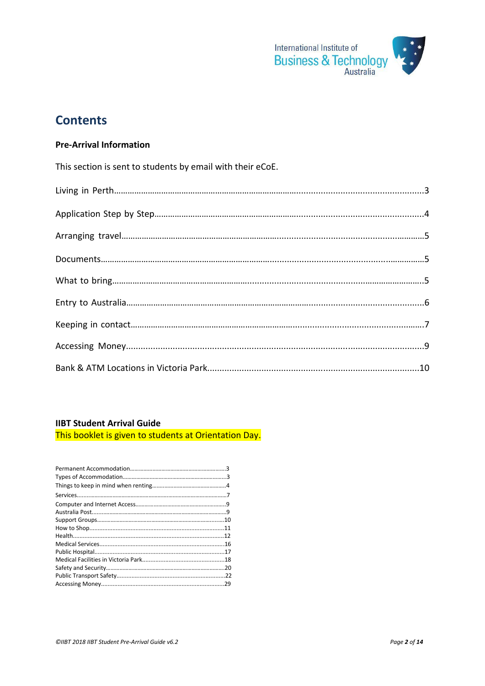

## **Contents**

#### **Pre-Arrival Information**

This section is sent to students by email with their eCoE. 

## 

#### **IIBT Student Arrival Guide**

This booklet is given to students at Orientation Day.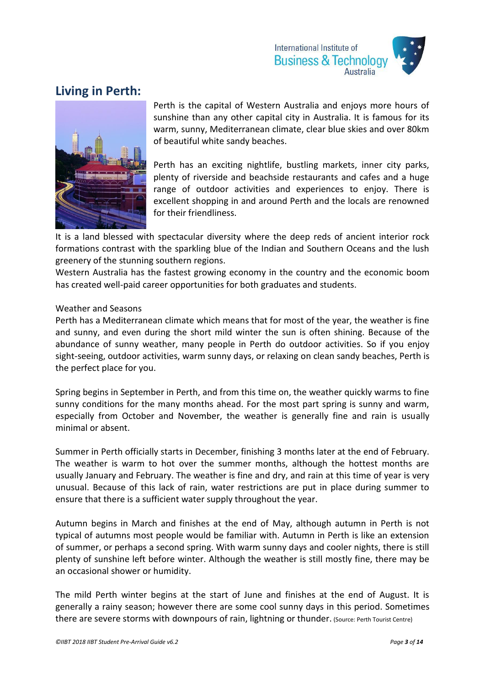

## **Living in Perth:**



Perth is the capital of Western Australia and enjoys more hours of sunshine than any other capital city in Australia. It is famous for its warm, sunny, Mediterranean climate, clear blue skies and over 80km of beautiful white sandy beaches.

Perth has an exciting nightlife, bustling markets, inner city parks, plenty of riverside and beachside restaurants and cafes and a huge range of outdoor activities and experiences to enjoy. There is excellent shopping in and around Perth and the locals are renowned for their friendliness.

It is a land blessed with spectacular diversity where the deep reds of ancient interior rock formations contrast with the sparkling blue of the Indian and Southern Oceans and the lush greenery of the stunning southern regions.

Western Australia has the fastest growing economy in the country and the economic boom has created well-paid career opportunities for both graduates and students.

#### Weather and Seasons

Perth has a Mediterranean climate which means that for most of the year, the weather is fine and sunny, and even during the short mild winter the sun is often shining. Because of the abundance of sunny weather, many people in Perth do outdoor activities. So if you enjoy sight-seeing, outdoor activities, warm sunny days, or relaxing on clean sandy beaches, Perth is the perfect place for you.

Spring begins in September in Perth, and from this time on, the weather quickly warms to fine sunny conditions for the many months ahead. For the most part spring is sunny and warm, especially from October and November, the weather is generally fine and rain is usually minimal or absent.

Summer in Perth officially starts in December, finishing 3 months later at the end of February. The weather is warm to hot over the summer months, although the hottest months are usually January and February. The weather is fine and dry, and rain at this time of year is very unusual. Because of this lack of rain, water restrictions are put in place during summer to ensure that there is a sufficient water supply throughout the year.

Autumn begins in March and finishes at the end of May, although autumn in Perth is not typical of autumns most people would be familiar with. Autumn in Perth is like an extension of summer, or perhaps a second spring. With warm sunny days and cooler nights, there is still plenty of sunshine left before winter. Although the weather is still mostly fine, there may be an occasional shower or humidity.

The mild Perth winter begins at the start of June and finishes at the end of August. It is generally a rainy season; however there are some cool sunny days in this period. Sometimes there are severe storms with downpours of rain, lightning or thunder. (Source: Perth Tourist Centre)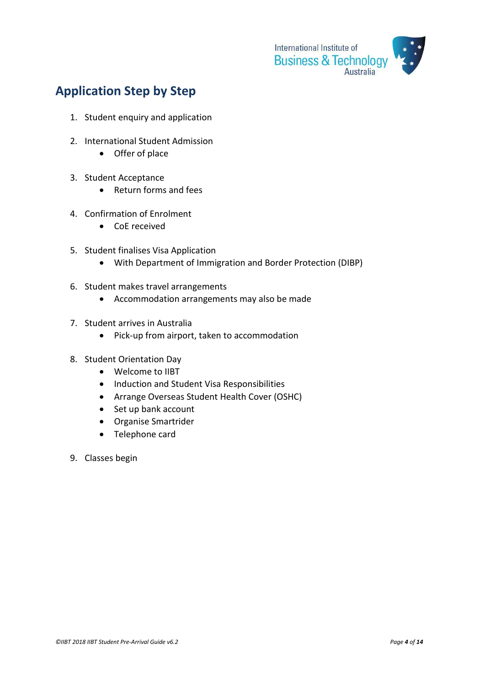

## **Application Step by Step**

- 1. Student enquiry and application
- 2. International Student Admission
	- Offer of place
- 3. Student Acceptance
	- Return forms and fees
- 4. Confirmation of Enrolment
	- CoE received
- 5. Student finalises Visa Application
	- With Department of Immigration and Border Protection (DIBP)
- 6. Student makes travel arrangements
	- Accommodation arrangements may also be made
- 7. Student arrives in Australia
	- Pick-up from airport, taken to accommodation
- 8. Student Orientation Day
	- Welcome to IIBT
	- Induction and Student Visa Responsibilities
	- Arrange Overseas Student Health Cover (OSHC)
	- Set up bank account
	- Organise Smartrider
	- Telephone card
- 9. Classes begin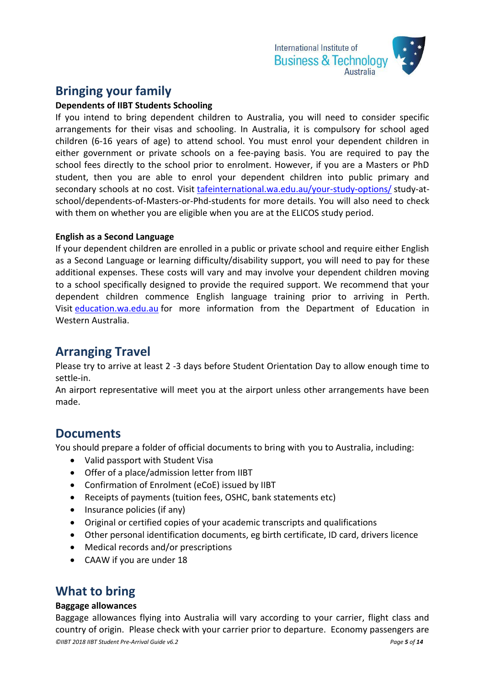

## **Bringing your family**

#### **Dependents of IIBT Students Schooling**

If you intend to bring dependent children to Australia, you will need to consider specific arrangements for their visas and schooling. In Australia, it is compulsory for school aged children (6-16 years of age) to attend school. You must enrol your dependent children in either government or private schools on a fee-paying basis. You are required to pay the school fees directly to the school prior to enrolment. However, if you are a Masters or PhD student, then you are able to enrol your dependent children into public primary and secondary schools at no cost. Visit [tafeinternational.wa.edu.au/your-study-options/](http://tafeinternational.wa.edu.au/your-study-options/) study-atschool/dependents-of-Masters-or-Phd-students for more details. You will also need to check with them on whether you are eligible when you are at the ELICOS study period.

#### **English as a Second Language**

If your dependent children are enrolled in a public or private school and require either English as a Second Language or learning difficulty/disability support, you will need to pay for these additional expenses. These costs will vary and may involve your dependent children moving to a school specifically designed to provide the required support. We recommend that your dependent children commence English language training prior to arriving in Perth. Visit [education.wa.edu.au](http://education.wa.edu.au/) for more information from the Department of Education in Western Australia.

## **Arranging Travel**

Please try to arrive at least 2 -3 days before Student Orientation Day to allow enough time to settle-in.

An airport representative will meet you at the airport unless other arrangements have been made.

## **Documents**

You should prepare a folder of official documents to bring with you to Australia, including:

- Valid passport with Student Visa
- Offer of a place/admission letter from IIBT
- Confirmation of Enrolment (eCoE) issued by IIBT
- Receipts of payments (tuition fees, OSHC, bank statements etc)
- Insurance policies (if any)
- Original or certified copies of your academic transcripts and qualifications
- Other personal identification documents, eg birth certificate, ID card, drivers licence
- Medical records and/or prescriptions
- CAAW if you are under 18

## **What to bring**

#### **Baggage allowances**

*©IIBT 2018 IIBT Student Pre-Arrival Guide v6.2 Page 5 of 14* Baggage allowances flying into Australia will vary according to your carrier, flight class and country of origin. Please check with your carrier prior to departure. Economy passengers are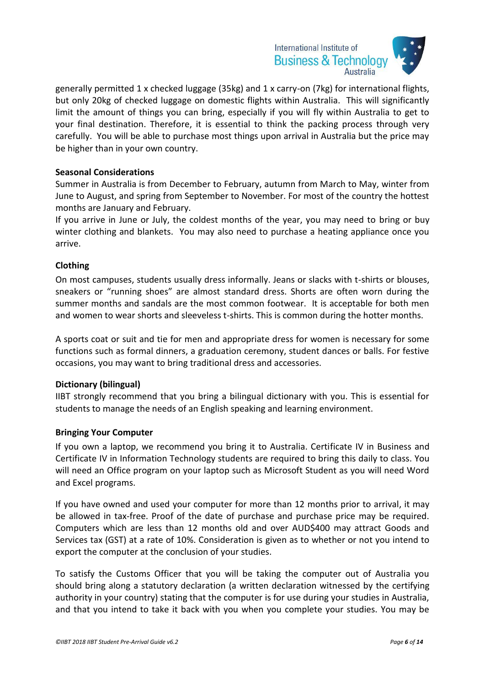

generally permitted 1 x checked luggage (35kg) and 1 x carry-on (7kg) for international flights, but only 20kg of checked luggage on domestic flights within Australia. This will significantly limit the amount of things you can bring, especially if you will fly within Australia to get to your final destination. Therefore, it is essential to think the packing process through very carefully. You will be able to purchase most things upon arrival in Australia but the price may be higher than in your own country.

#### **Seasonal Considerations**

Summer in Australia is from December to February, autumn from March to May, winter from June to August, and spring from September to November. For most of the country the hottest months are January and February.

If you arrive in June or July, the coldest months of the year, you may need to bring or buy winter clothing and blankets. You may also need to purchase a heating appliance once you arrive.

#### **Clothing**

On most campuses, students usually dress informally. Jeans or slacks with t-shirts or blouses, sneakers or "running shoes" are almost standard dress. Shorts are often worn during the summer months and sandals are the most common footwear. It is acceptable for both men and women to wear shorts and sleeveless t-shirts. This is common during the hotter months.

A sports coat or suit and tie for men and appropriate dress for women is necessary for some functions such as formal dinners, a graduation ceremony, student dances or balls. For festive occasions, you may want to bring traditional dress and accessories.

#### **Dictionary (bilingual)**

IIBT strongly recommend that you bring a bilingual dictionary with you. This is essential for students to manage the needs of an English speaking and learning environment.

#### **Bringing Your Computer**

If you own a laptop, we recommend you bring it to Australia. Certificate IV in Business and Certificate IV in Information Technology students are required to bring this daily to class. You will need an Office program on your laptop such as Microsoft Student as you will need Word and Excel programs.

If you have owned and used your computer for more than 12 months prior to arrival, it may be allowed in tax-free. Proof of the date of purchase and purchase price may be required. Computers which are less than 12 months old and over AUD\$400 may attract Goods and Services tax (GST) at a rate of 10%. Consideration is given as to whether or not you intend to export the computer at the conclusion of your studies.

To satisfy the Customs Officer that you will be taking the computer out of Australia you should bring along a statutory declaration (a written declaration witnessed by the certifying authority in your country) stating that the computer is for use during your studies in Australia, and that you intend to take it back with you when you complete your studies. You may be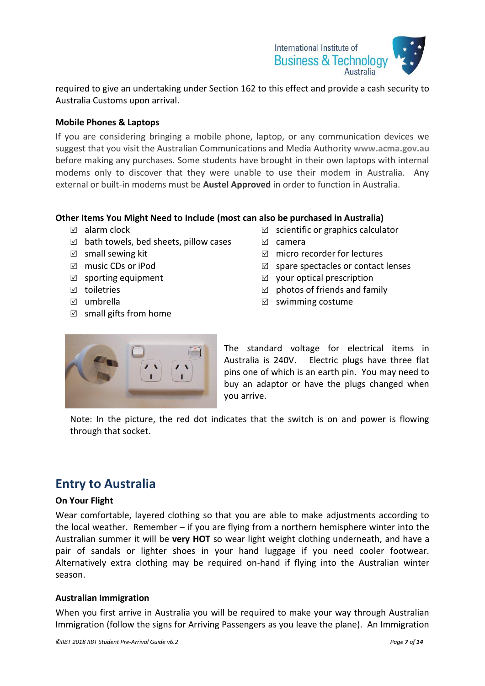

required to give an undertaking under Section 162 to this effect and provide a cash security to Australia Customs upon arrival.

#### **Mobile Phones & Laptops**

If you are considering bringing a mobile phone, laptop, or any communication devices we suggest that you visit the Australian Communications and Media Authority **www.acma.gov.au** before making any purchases. Some students have brought in their own laptops with internal modems only to discover that they were unable to use their modem in Australia. Any external or built-in modems must be **Austel Approved** in order to function in Australia.

#### **Other Items You Might Need to Include (most can also be purchased in Australia)**

- $\boxtimes$  alarm clock
- $\boxtimes$  bath towels, bed sheets, pillow cases
- $\boxtimes$  small sewing kit
- music CDs or iPod
- $\boxtimes$  sporting equipment
- toiletries
- umbrella
- $\boxtimes$  small gifts from home
- $\boxtimes$  scientific or graphics calculator
- camera
- $\boxtimes$  micro recorder for lectures
- $\boxtimes$  spare spectacles or contact lenses
- $\boxtimes$  your optical prescription
- $\boxtimes$  photos of friends and family
- $\boxtimes$  swimming costume



The standard voltage for electrical items in Australia is 240V. Electric plugs have three flat pins one of which is an earth pin. You may need to buy an adaptor or have the plugs changed when you arrive.

Note: In the picture, the red dot indicates that the switch is on and power is flowing through that socket.

## **Entry to Australia**

#### **On Your Flight**

Wear comfortable, layered clothing so that you are able to make adjustments according to the local weather. Remember – if you are flying from a northern hemisphere winter into the Australian summer it will be **very HOT** so wear light weight clothing underneath, and have a pair of sandals or lighter shoes in your hand luggage if you need cooler footwear. Alternatively extra clothing may be required on-hand if flying into the Australian winter season.

#### **Australian Immigration**

When you first arrive in Australia you will be required to make your way through Australian Immigration (follow the signs for Arriving Passengers as you leave the plane). An Immigration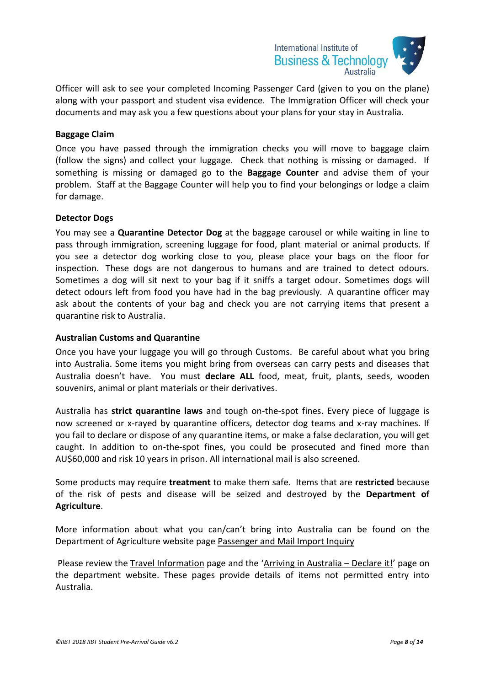

Officer will ask to see your completed Incoming Passenger Card (given to you on the plane) along with your passport and student visa evidence. The Immigration Officer will check your documents and may ask you a few questions about your plans for your stay in Australia.

#### **Baggage Claim**

Once you have passed through the immigration checks you will move to baggage claim (follow the signs) and collect your luggage. Check that nothing is missing or damaged. If something is missing or damaged go to the **Baggage Counter** and advise them of your problem. Staff at the Baggage Counter will help you to find your belongings or lodge a claim for damage.

#### **Detector Dogs**

You may see a **Quarantine Detector Dog** at the baggage carousel or while waiting in line to pass through immigration, screening luggage for food, plant material or animal products. If you see a detector dog working close to you, please place your bags on the floor for inspection. These dogs are not dangerous to humans and are trained to detect odours. Sometimes a dog will sit next to your bag if it sniffs a target odour. Sometimes dogs will detect odours left from food you have had in the bag previously. A quarantine officer may ask about the contents of your bag and check you are not carrying items that present a quarantine risk to Australia.

#### **Australian Customs and Quarantine**

Once you have your luggage you will go through Customs. Be careful about what you bring into Australia. Some items you might bring from overseas can carry pests and diseases that Australia doesn't have. You must **declare ALL** food, meat, fruit, plants, seeds, wooden souvenirs, animal or plant materials or their derivatives.

Australia has **strict quarantine laws** and tough on-the-spot fines. Every piece of luggage is now screened or x-rayed by quarantine officers, detector dog teams and x-ray machines. If you fail to declare or dispose of any quarantine items, or make a false declaration, you will get caught. In addition to on-the-spot fines, you could be prosecuted and fined more than AU\$60,000 and risk 10 years in prison. All international mail is also screened.

Some products may require **treatment** to make them safe. Items that are **restricted** because of the risk of pests and disease will be seized and destroyed by the **Department of Agriculture**.

More information about what you can/can't bring into Australia can be found on the Department of Agriculture website page [Passenger and Mail Import Inquiry](http://www.daff.gov.au/biosecurity/travel/cant-bring-form)

Please review the [Travel Information](http://www.daff.gov.au/biosecurity/travel) page and the '[Arriving in Australia](http://www.daff.gov.au/biosecurity/travel/cant-take) – Declare it!' page on the department website. These pages provide details of items not permitted entry into Australia.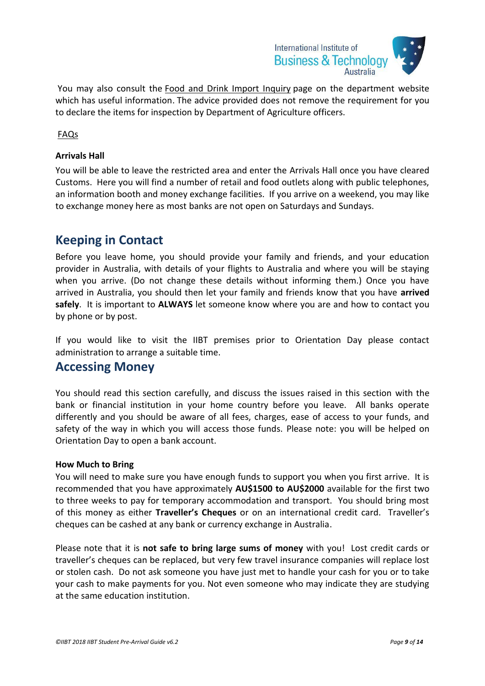

You may also consult the [Food and Drink Import Inquiry](http://www.daff.gov.au/biosecurity/travel/cant-bring-form/australian_biosecurity) page on the department website which has useful information. The advice provided does not remove the requirement for you to declare the items for inspection by Department of Agriculture officers.

[FAQs](http://www.daff.gov.au/biosecurity/faqs)

#### **Arrivals Hall**

You will be able to leave the restricted area and enter the Arrivals Hall once you have cleared Customs. Here you will find a number of retail and food outlets along with public telephones, an information booth and money exchange facilities. If you arrive on a weekend, you may like to exchange money here as most banks are not open on Saturdays and Sundays.

## **Keeping in Contact**

Before you leave home, you should provide your family and friends, and your education provider in Australia, with details of your flights to Australia and where you will be staying when you arrive. (Do not change these details without informing them.) Once you have arrived in Australia, you should then let your family and friends know that you have **arrived safely**. It is important to **ALWAYS** let someone know where you are and how to contact you by phone or by post.

If you would like to visit the IIBT premises prior to Orientation Day please contact administration to arrange a suitable time.

## **Accessing Money**

You should read this section carefully, and discuss the issues raised in this section with the bank or financial institution in your home country before you leave. All banks operate differently and you should be aware of all fees, charges, ease of access to your funds, and safety of the way in which you will access those funds. Please note: you will be helped on Orientation Day to open a bank account.

#### **How Much to Bring**

You will need to make sure you have enough funds to support you when you first arrive. It is recommended that you have approximately **AU\$1500 to AU\$2000** available for the first two to three weeks to pay for temporary accommodation and transport. You should bring most of this money as either **Traveller's Cheques** or on an international credit card. Traveller's cheques can be cashed at any bank or currency exchange in Australia.

Please note that it is **not safe to bring large sums of money** with you! Lost credit cards or traveller's cheques can be replaced, but very few travel insurance companies will replace lost or stolen cash. Do not ask someone you have just met to handle your cash for you or to take your cash to make payments for you. Not even someone who may indicate they are studying at the same education institution.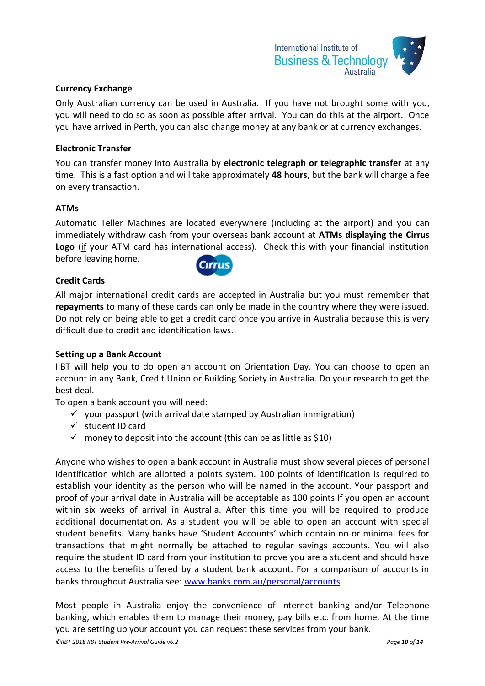

#### **Currency Exchange**

Only Australian currency can be used in Australia. If you have not brought some with you, you will need to do so as soon as possible after arrival. You can do this at the airport. Once you have arrived in Perth, you can also change money at any bank or at currency exchanges.

#### **Electronic Transfer**

You can transfer money into Australia by **electronic telegraph or telegraphic transfer** at any time. This is a fast option and will take approximately **48 hours**, but the bank will charge a fee on every transaction.

#### **ATMs**

Automatic Teller Machines are located everywhere (including at the airport) and you can immediately withdraw cash from your overseas bank account at **ATMs displaying the Cirrus Logo** (if your ATM card has international access). Check this with your financial institution before leaving home. **Cirrus** 

#### **Credit Cards**

All major international credit cards are accepted in Australia but you must remember that **repayments** to many of these cards can only be made in the country where they were issued. Do not rely on being able to get a credit card once you arrive in Australia because this is very difficult due to credit and identification laws.

#### **Setting up a Bank Account**

IIBT will help you to do open an account on Orientation Day. You can choose to open an account in any Bank, Credit Union or Building Society in Australia. Do your research to get the best deal.

To open a bank account you will need:

- $\checkmark$  your passport (with arrival date stamped by Australian immigration)
- $\checkmark$  student ID card
- $\checkmark$  money to deposit into the account (this can be as little as \$10)

Anyone who wishes to open a bank account in Australia must show several pieces of personal identification which are allotted a points system. 100 points of identification is required to establish your identity as the person who will be named in the account. Your passport and proof of your arrival date in Australia will be acceptable as 100 points If you open an account within six weeks of arrival in Australia. After this time you will be required to produce additional documentation. As a student you will be able to open an account with special student benefits. Many banks have 'Student Accounts' which contain no or minimal fees for transactions that might normally be attached to regular savings accounts. You will also require the student ID card from your institution to prove you are a student and should have access to the benefits offered by a student bank account. For a comparison of accounts in banks throughout Australia see: [www.banks.com.au/personal/accounts](http://www.banks.com.au/personal/accounts)

Most people in Australia enjoy the convenience of Internet banking and/or Telephone banking, which enables them to manage their money, pay bills etc. from home. At the time you are setting up your account you can request these services from your bank.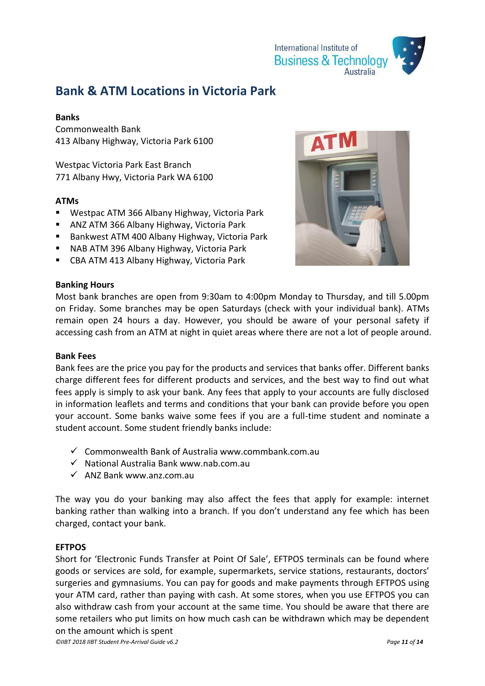

## **Bank & ATM Locations in Victoria Park**

#### **Banks**

Commonwealth Bank 413 Albany Highway, Victoria Park 6100

Westpac Victoria Park East Branch 771 Albany Hwy, Victoria Park WA 6100

#### **ATMs**

- Westpac ATM 366 Albany Highway, Victoria Park
- ANZ ATM 366 Albany Highway, Victoria Park
- Bankwest ATM 400 Albany Highway, Victoria Park
- NAB ATM 396 Albany Highway, Victoria Park
- CBA ATM 413 Albany Highway, Victoria Park



#### **Banking Hours**

Most bank branches are open from 9:30am to 4:00pm Monday to Thursday, and till 5.00pm on Friday. Some branches may be open Saturdays (check with your individual bank). ATMs remain open 24 hours a day. However, you should be aware of your personal safety if accessing cash from an ATM at night in quiet areas where there are not a lot of people around.

#### **Bank Fees**

Bank fees are the price you pay for the products and services that banks offer. Different banks charge different fees for different products and services, and the best way to find out what fees apply is simply to ask your bank. Any fees that apply to your accounts are fully disclosed in information leaflets and terms and conditions that your bank can provide before you open your account. Some banks waive some fees if you are a full-time student and nominate a student account. Some student friendly banks include:

- $\checkmark$  Commonwealth Bank of Australia www.commbank.com.au
- $\checkmark$  National Australia Bank www.nab.com.au
- $\checkmark$  ANZ Bank www.anz.com.au

The way you do your banking may also affect the fees that apply for example: internet banking rather than walking into a branch. If you don't understand any fee which has been charged, contact your bank.

#### **EFTPOS**

Short for 'Electronic Funds Transfer at Point Of Sale', EFTPOS terminals can be found where goods or services are sold, for example, supermarkets, service stations, restaurants, doctors' surgeries and gymnasiums. You can pay for goods and make payments through EFTPOS using your ATM card, rather than paying with cash. At some stores, when you use EFTPOS you can also withdraw cash from your account at the same time. You should be aware that there are some retailers who put limits on how much cash can be withdrawn which may be dependent on the amount which is spent

*©IIBT 2018 IIBT Student Pre-Arrival Guide v6.2 Page 11 of 14*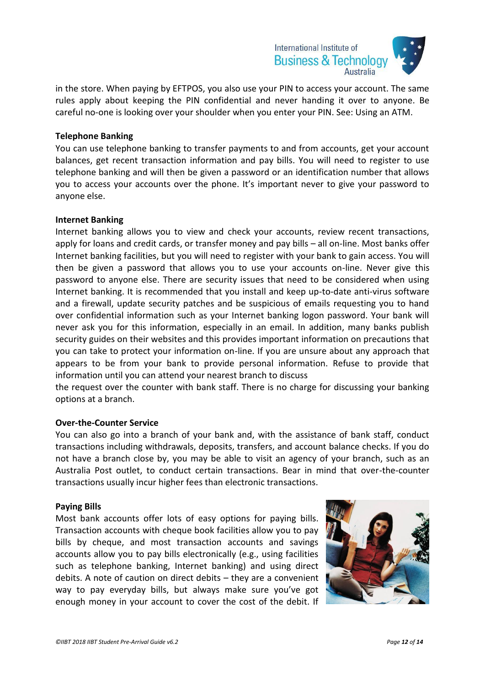

in the store. When paying by EFTPOS, you also use your PIN to access your account. The same rules apply about keeping the PIN confidential and never handing it over to anyone. Be careful no-one is looking over your shoulder when you enter your PIN. See: Using an ATM.

#### **Telephone Banking**

You can use telephone banking to transfer payments to and from accounts, get your account balances, get recent transaction information and pay bills. You will need to register to use telephone banking and will then be given a password or an identification number that allows you to access your accounts over the phone. It's important never to give your password to anyone else.

#### **Internet Banking**

Internet banking allows you to view and check your accounts, review recent transactions, apply for loans and credit cards, or transfer money and pay bills – all on-line. Most banks offer Internet banking facilities, but you will need to register with your bank to gain access. You will then be given a password that allows you to use your accounts on-line. Never give this password to anyone else. There are security issues that need to be considered when using Internet banking. It is recommended that you install and keep up-to-date anti-virus software and a firewall, update security patches and be suspicious of emails requesting you to hand over confidential information such as your Internet banking logon password. Your bank will never ask you for this information, especially in an email. In addition, many banks publish security guides on their websites and this provides important information on precautions that you can take to protect your information on-line. If you are unsure about any approach that appears to be from your bank to provide personal information. Refuse to provide that information until you can attend your nearest branch to discuss

the request over the counter with bank staff. There is no charge for discussing your banking options at a branch.

#### **Over-the-Counter Service**

You can also go into a branch of your bank and, with the assistance of bank staff, conduct transactions including withdrawals, deposits, transfers, and account balance checks. If you do not have a branch close by, you may be able to visit an agency of your branch, such as an Australia Post outlet, to conduct certain transactions. Bear in mind that over-the-counter transactions usually incur higher fees than electronic transactions.

#### **Paying Bills**

Most bank accounts offer lots of easy options for paying bills. Transaction accounts with cheque book facilities allow you to pay bills by cheque, and most transaction accounts and savings accounts allow you to pay bills electronically (e.g., using facilities such as telephone banking, Internet banking) and using direct debits. A note of caution on direct debits – they are a convenient way to pay everyday bills, but always make sure you've got enough money in your account to cover the cost of the debit. If

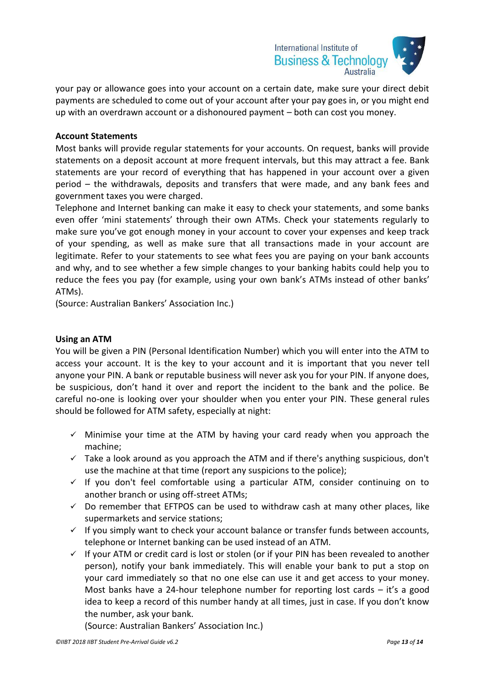

your pay or allowance goes into your account on a certain date, make sure your direct debit payments are scheduled to come out of your account after your pay goes in, or you might end up with an overdrawn account or a dishonoured payment – both can cost you money.

#### **Account Statements**

Most banks will provide regular statements for your accounts. On request, banks will provide statements on a deposit account at more frequent intervals, but this may attract a fee. Bank statements are your record of everything that has happened in your account over a given period – the withdrawals, deposits and transfers that were made, and any bank fees and government taxes you were charged.

Telephone and Internet banking can make it easy to check your statements, and some banks even offer 'mini statements' through their own ATMs. Check your statements regularly to make sure you've got enough money in your account to cover your expenses and keep track of your spending, as well as make sure that all transactions made in your account are legitimate. Refer to your statements to see what fees you are paying on your bank accounts and why, and to see whether a few simple changes to your banking habits could help you to reduce the fees you pay (for example, using your own bank's ATMs instead of other banks' ATMs).

(Source: Australian Bankers' Association Inc.)

#### **Using an ATM**

You will be given a PIN (Personal Identification Number) which you will enter into the ATM to access your account. It is the key to your account and it is important that you never tell anyone your PIN. A bank or reputable business will never ask you for your PIN. If anyone does, be suspicious, don't hand it over and report the incident to the bank and the police. Be careful no-one is looking over your shoulder when you enter your PIN. These general rules should be followed for ATM safety, especially at night:

- $\checkmark$  Minimise your time at the ATM by having your card ready when you approach the machine;
- $\checkmark$  Take a look around as you approach the ATM and if there's anything suspicious, don't use the machine at that time (report any suspicions to the police);
- $\checkmark$  If you don't feel comfortable using a particular ATM, consider continuing on to another branch or using off-street ATMs;
- $\checkmark$  Do remember that EFTPOS can be used to withdraw cash at many other places, like supermarkets and service stations;
- $\checkmark$  If you simply want to check your account balance or transfer funds between accounts, telephone or Internet banking can be used instead of an ATM.
- $\checkmark$  If your ATM or credit card is lost or stolen (or if your PIN has been revealed to another person), notify your bank immediately. This will enable your bank to put a stop on your card immediately so that no one else can use it and get access to your money. Most banks have a 24-hour telephone number for reporting lost cards – it's a good idea to keep a record of this number handy at all times, just in case. If you don't know the number, ask your bank.

(Source: Australian Bankers' Association Inc.)